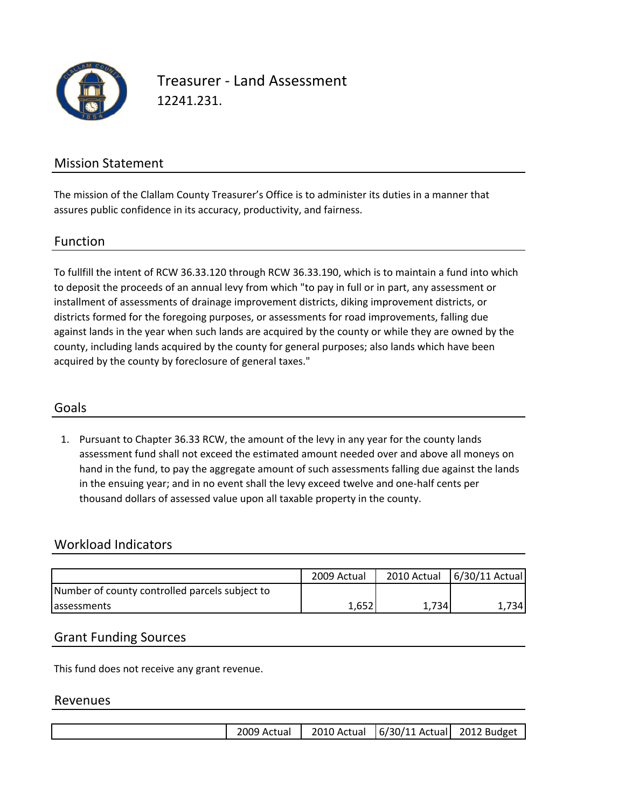

Treasurer ‐ Land Assessment 12241.231.

## Mission Statement

The mission of the Clallam County Treasurer's Office is to administer its duties in a manner that assures public confidence in its accuracy, productivity, and fairness.

#### Function

To fullfill the intent of RCW 36.33.120 through RCW 36.33.190, which is to maintain a fund into which to deposit the proceeds of an annual levy from which "to pay in full or in part, any assessment or installment of assessments of drainage improvement districts, diking improvement districts, or districts formed for the foregoing purposes, or assessments for road improvements, falling due against lands in the year when such lands are acquired by the county or while they are owned by the county, including lands acquired by the county for general purposes; also lands which have been acquired by the county by foreclosure of general taxes."

### Goals

1. Pursuant to Chapter 36.33 RCW, the amount of the levy in any year for the county lands assessment fund shall not exceed the estimated amount needed over and above all moneys on hand in the fund, to pay the aggregate amount of such assessments falling due against the lands in the ensuing year; and in no event shall the levy exceed twelve and one‐half cents per thousand dollars of assessed value upon all taxable property in the county.

### Workload Indicators

|                                                | 2009 Actual |      | 2010 Actual 6/30/11 Actual |
|------------------------------------------------|-------------|------|----------------------------|
|                                                |             |      |                            |
| Number of county controlled parcels subject to |             |      |                            |
| <b>assessments</b>                             | 1,652       | .734 | .7341                      |

### Grant Funding Sources

This fund does not receive any grant revenue.

#### Revenues

|  |  | 2009 Actual |  | 2010 Actual   6/30/11 Actual 2012 Budget |  |
|--|--|-------------|--|------------------------------------------|--|
|--|--|-------------|--|------------------------------------------|--|